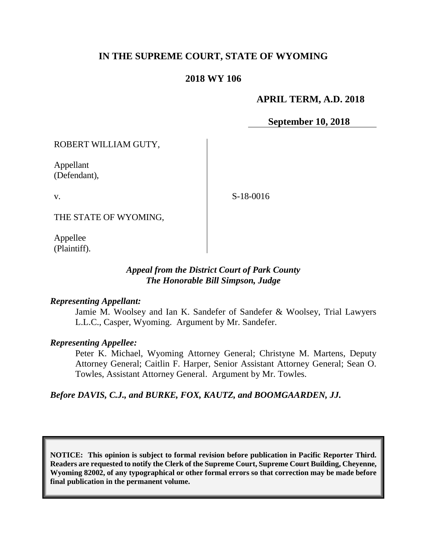# **IN THE SUPREME COURT, STATE OF WYOMING**

## **2018 WY 106**

## **APRIL TERM, A.D. 2018**

**September 10, 2018**

ROBERT WILLIAM GUTY,

Appellant (Defendant),

v.

S-18-0016

THE STATE OF WYOMING,

Appellee (Plaintiff).

## *Appeal from the District Court of Park County The Honorable Bill Simpson, Judge*

#### *Representing Appellant:*

Jamie M. Woolsey and Ian K. Sandefer of Sandefer & Woolsey, Trial Lawyers L.L.C., Casper, Wyoming. Argument by Mr. Sandefer.

#### *Representing Appellee:*

Peter K. Michael, Wyoming Attorney General; Christyne M. Martens, Deputy Attorney General; Caitlin F. Harper, Senior Assistant Attorney General; Sean O. Towles, Assistant Attorney General. Argument by Mr. Towles.

*Before DAVIS, C.J., and BURKE, FOX, KAUTZ, and BOOMGAARDEN, JJ.*

**NOTICE: This opinion is subject to formal revision before publication in Pacific Reporter Third. Readers are requested to notify the Clerk of the Supreme Court, Supreme Court Building, Cheyenne, Wyoming 82002, of any typographical or other formal errors so that correction may be made before final publication in the permanent volume.**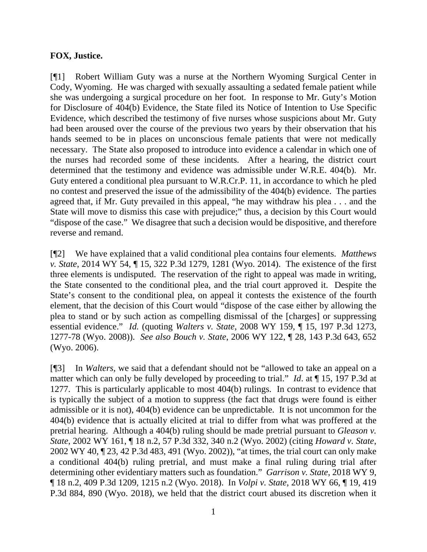# **FOX, Justice.**

[¶1] Robert William Guty was a nurse at the Northern Wyoming Surgical Center in Cody, Wyoming. He was charged with sexually assaulting a sedated female patient while she was undergoing a surgical procedure on her foot. In response to Mr. Guty's Motion for Disclosure of 404(b) Evidence, the State filed its Notice of Intention to Use Specific Evidence, which described the testimony of five nurses whose suspicions about Mr. Guty had been aroused over the course of the previous two years by their observation that his hands seemed to be in places on unconscious female patients that were not medically necessary. The State also proposed to introduce into evidence a calendar in which one of the nurses had recorded some of these incidents. After a hearing, the district court determined that the testimony and evidence was admissible under W.R.E. 404(b). Mr. Guty entered a conditional plea pursuant to W.R.Cr.P. 11, in accordance to which he pled no contest and preserved the issue of the admissibility of the 404(b) evidence. The parties agreed that, if Mr. Guty prevailed in this appeal, "he may withdraw his plea . . . and the State will move to dismiss this case with prejudice;" thus, a decision by this Court would "dispose of the case." We disagree that such a decision would be dispositive, and therefore reverse and remand.

[¶2] We have explained that a valid conditional plea contains four elements. *Matthews v. State*, 2014 WY 54, ¶ 15, 322 P.3d 1279, 1281 (Wyo. 2014). The existence of the first three elements is undisputed. The reservation of the right to appeal was made in writing, the State consented to the conditional plea, and the trial court approved it. Despite the State's consent to the conditional plea, on appeal it contests the existence of the fourth element, that the decision of this Court would "dispose of the case either by allowing the plea to stand or by such action as compelling dismissal of the [charges] or suppressing essential evidence." *Id.* (quoting *Walters v. State*, 2008 WY 159, ¶ 15, 197 P.3d 1273, 1277-78 (Wyo. 2008)). *See also Bouch v. State*, 2006 WY 122, ¶ 28, 143 P.3d 643, 652 (Wyo. 2006).

[¶3] In *Walters*, we said that a defendant should not be "allowed to take an appeal on a matter which can only be fully developed by proceeding to trial." *Id*. at ¶ 15, 197 P.3d at 1277. This is particularly applicable to most 404(b) rulings. In contrast to evidence that is typically the subject of a motion to suppress (the fact that drugs were found is either admissible or it is not), 404(b) evidence can be unpredictable. It is not uncommon for the 404(b) evidence that is actually elicited at trial to differ from what was proffered at the pretrial hearing. Although a 404(b) ruling should be made pretrial pursuant to *Gleason v. State*, 2002 WY 161, ¶ 18 n.2, 57 P.3d 332, 340 n.2 (Wyo. 2002) (citing *Howard v. State*, 2002 WY 40, ¶ 23, 42 P.3d 483, 491 (Wyo. 2002)), "at times, the trial court can only make a conditional 404(b) ruling pretrial, and must make a final ruling during trial after determining other evidentiary matters such as foundation." *Garrison v. State*, 2018 WY 9, ¶ 18 n.2, 409 P.3d 1209, 1215 n.2 (Wyo. 2018). In *Volpi v. State*, 2018 WY 66, ¶ 19, 419 P.3d 884, 890 (Wyo. 2018), we held that the district court abused its discretion when it